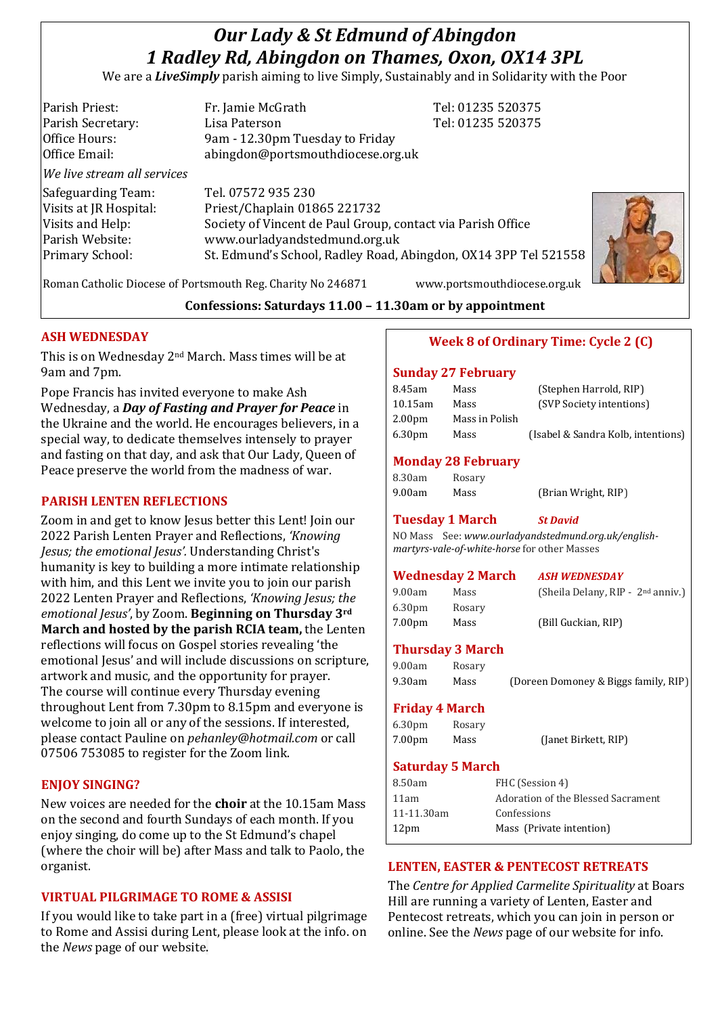# *Our Lady & St Edmund of Abingdon 1 Radley Rd, Abingdon on Thames, Oxon, OX14 3PL*

We are a *LiveSimply* parish aiming to live Simply, Sustainably and in Solidarity with the Poor

| Parish Priest:              | Fr. Jamie McGrath                                               | Tel: 01235 520375 |  |
|-----------------------------|-----------------------------------------------------------------|-------------------|--|
| Parish Secretary:           | Lisa Paterson                                                   | Tel: 01235 520375 |  |
| Office Hours:               | 9am - 12.30pm Tuesday to Friday                                 |                   |  |
| Office Email:               | abingdon@portsmouthdiocese.org.uk                               |                   |  |
| We live stream all services |                                                                 |                   |  |
| Safeguarding Team:          | Tel. 07572 935 230                                              |                   |  |
| Visits at JR Hospital:      | Priest/Chaplain 01865 221732                                    |                   |  |
| Visits and Help:            | Society of Vincent de Paul Group, contact via Parish Office     |                   |  |
| Parish Website:             | www.ourladyandstedmund.org.uk                                   |                   |  |
| <b>Primary School:</b>      | St. Edmund's School, Radley Road, Abingdon, OX14 3PP Tel 521558 |                   |  |
|                             |                                                                 |                   |  |



Roman Catholic Diocese of Portsmouth Reg. Charity No 246871 www.portsmouthdiocese.org.uk

## **Confessions: Saturdays 11.00 – 11.30am or by appointment**

## **ASH WEDNESDAY**

This is on Wednesday 2nd March. Mass times will be at 9am and 7pm.

Pope Francis has invited everyone to make Ash Wednesday, a *Day of Fasting and Prayer for Peace* in the Ukraine and the world. He encourages believers, in a special way, to dedicate themselves intensely to prayer and fasting on that day, and ask that Our Lady, Queen of Peace preserve the world from the madness of war.

#### **PARISH LENTEN REFLECTIONS**

Zoom in and get to know Jesus better this Lent! Join our 2022 Parish Lenten Prayer and Reflections, *'Knowing Jesus; the emotional Jesus'.* Understanding Christ's humanity is key to building a more intimate relationship with him, and this Lent we invite you to join our parish 2022 Lenten Prayer and Reflections, *'Knowing Jesus; the emotional Jesus'*, by Zoom. **Beginning on Thursday 3rd March and hosted by the parish RCIA team,** the Lenten reflections will focus on Gospel stories revealing 'the emotional Jesus' and will include discussions on scripture, artwork and music, and the opportunity for prayer. The course will continue every Thursday evening throughout Lent from 7.30pm to 8.15pm and everyone is welcome to join all or any of the sessions. If interested, please contact Pauline on *pehanley@hotmail.com* or call 07506 753085 to register for the Zoom link.

## **ENJOY SINGING?**

New voices are needed for the **choir** at the 10.15am Mass on the second and fourth Sundays of each month. If you enjoy singing, do come up to the St Edmund's chapel (where the choir will be) after Mass and talk to Paolo, the organist.

## **VIRTUAL PILGRIMAGE TO ROME & ASSISI**

If you would like to take part in a (free) virtual pilgrimage to Rome and Assisi during Lent, please look at the info. on the *News* page of our website.

## **Week 8 of Ordinary Time: Cycle 2 (C)**

#### **Sunday 27 February**

| 8.45am  | Mass           | (Stephen Harrold, RIP)             |
|---------|----------------|------------------------------------|
| 10.15am | Mass           | (SVP Society intentions)           |
| 2.00pm  | Mass in Polish |                                    |
| 6.30pm  | Mass           | (Isabel & Sandra Kolb, intentions) |
|         |                |                                    |

## **Monday 28 February**

| 8.30am | Rosary |                     |
|--------|--------|---------------------|
| 9.00am | Mass   | (Brian Wright, RIP) |

# **Tuesday 1 March** *St David*

NO Mass See: *www.ourladyandstedmund.org.uk/englishmartyrs-vale-of-white-horse* for other Masses

#### **Wednesday 2 March** *ASH WEDNESDAY*

| 9.00am             | Mass   | (Sheila Delany, RIP - 2 <sup>nd</sup> anniv.) |
|--------------------|--------|-----------------------------------------------|
| 6.30 <sub>pm</sub> | Rosary |                                               |
| 7.00 <sub>pm</sub> | Mass   | (Bill Guckian, RIP)                           |

#### **Thursday 3 March**

| 9.00am | Rosary |                                      |
|--------|--------|--------------------------------------|
| 9.30am | Mass   | (Doreen Domoney & Biggs family, RIP) |

## **Friday 4 March**

| 6.30 <sub>pm</sub> | Rosary |                      |
|--------------------|--------|----------------------|
| 7.00pm             | Mass   | (Janet Birkett, RIP) |

#### **Saturday 5 March**

| FHC (Session 4)                    |
|------------------------------------|
| Adoration of the Blessed Sacrament |
| Confessions                        |
| Mass (Private intention)           |
|                                    |

## **LENTEN, EASTER & PENTECOST RETREATS**

The *Centre for Applied Carmelite Spirituality* at Boars Hill are running a variety of Lenten, Easter and Pentecost retreats, which you can join in person or online. See the *News* page of our website for info.